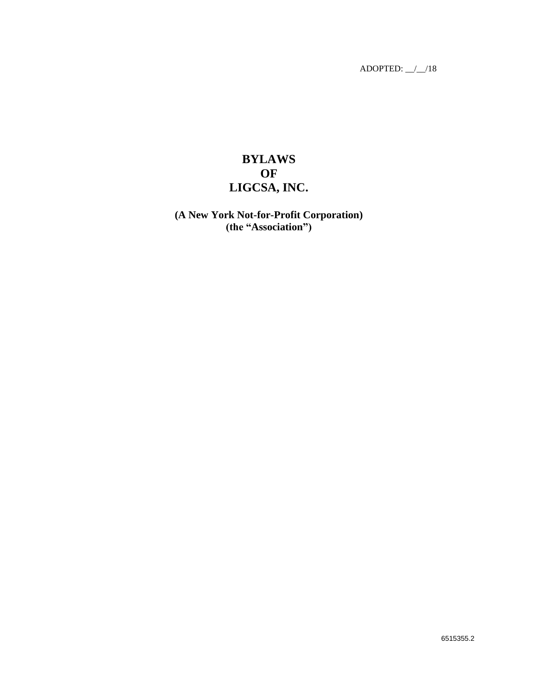# **BYLAWS OF LIGCSA, INC.**

## **(A New York Not-for-Profit Corporation) (the "Association")**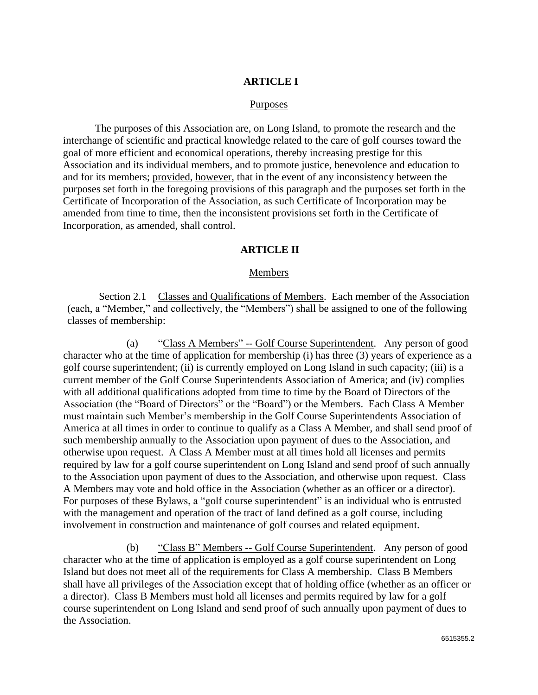## **ARTICLE I**

#### Purposes

The purposes of this Association are, on Long Island, to promote the research and the interchange of scientific and practical knowledge related to the care of golf courses toward the goal of more efficient and economical operations, thereby increasing prestige for this Association and its individual members, and to promote justice, benevolence and education to and for its members; provided, however, that in the event of any inconsistency between the purposes set forth in the foregoing provisions of this paragraph and the purposes set forth in the Certificate of Incorporation of the Association, as such Certificate of Incorporation may be amended from time to time, then the inconsistent provisions set forth in the Certificate of Incorporation, as amended, shall control.

### **ARTICLE II**

### Members

Section 2.1 Classes and Qualifications of Members. Each member of the Association (each, a "Member," and collectively, the "Members") shall be assigned to one of the following classes of membership:

(a) "Class A Members" -- Golf Course Superintendent. Any person of good character who at the time of application for membership (i) has three (3) years of experience as a golf course superintendent; (ii) is currently employed on Long Island in such capacity; (iii) is a current member of the Golf Course Superintendents Association of America; and (iv) complies with all additional qualifications adopted from time to time by the Board of Directors of the Association (the "Board of Directors" or the "Board") or the Members. Each Class A Member must maintain such Member's membership in the Golf Course Superintendents Association of America at all times in order to continue to qualify as a Class A Member, and shall send proof of such membership annually to the Association upon payment of dues to the Association, and otherwise upon request. A Class A Member must at all times hold all licenses and permits required by law for a golf course superintendent on Long Island and send proof of such annually to the Association upon payment of dues to the Association, and otherwise upon request. Class A Members may vote and hold office in the Association (whether as an officer or a director). For purposes of these Bylaws, a "golf course superintendent" is an individual who is entrusted with the management and operation of the tract of land defined as a golf course, including involvement in construction and maintenance of golf courses and related equipment.

(b) "Class B" Members -- Golf Course Superintendent. Any person of good character who at the time of application is employed as a golf course superintendent on Long Island but does not meet all of the requirements for Class A membership. Class B Members shall have all privileges of the Association except that of holding office (whether as an officer or a director). Class B Members must hold all licenses and permits required by law for a golf course superintendent on Long Island and send proof of such annually upon payment of dues to the Association.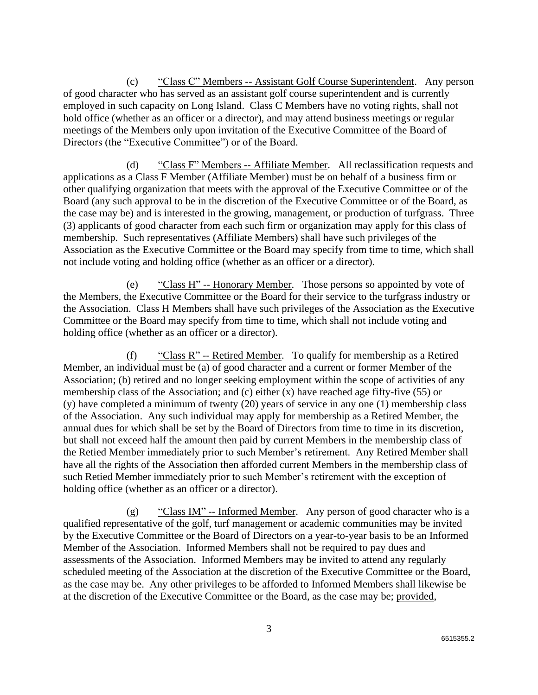(c) "Class C" Members -- Assistant Golf Course Superintendent. Any person of good character who has served as an assistant golf course superintendent and is currently employed in such capacity on Long Island. Class C Members have no voting rights, shall not hold office (whether as an officer or a director), and may attend business meetings or regular meetings of the Members only upon invitation of the Executive Committee of the Board of Directors (the "Executive Committee") or of the Board.

(d) "Class F" Members -- Affiliate Member. All reclassification requests and applications as a Class F Member (Affiliate Member) must be on behalf of a business firm or other qualifying organization that meets with the approval of the Executive Committee or of the Board (any such approval to be in the discretion of the Executive Committee or of the Board, as the case may be) and is interested in the growing, management, or production of turfgrass. Three (3) applicants of good character from each such firm or organization may apply for this class of membership. Such representatives (Affiliate Members) shall have such privileges of the Association as the Executive Committee or the Board may specify from time to time, which shall not include voting and holding office (whether as an officer or a director).

(e) "Class H" -- Honorary Member. Those persons so appointed by vote of the Members, the Executive Committee or the Board for their service to the turfgrass industry or the Association. Class H Members shall have such privileges of the Association as the Executive Committee or the Board may specify from time to time, which shall not include voting and holding office (whether as an officer or a director).

(f) "Class R" -- Retired Member. To qualify for membership as a Retired Member, an individual must be (a) of good character and a current or former Member of the Association; (b) retired and no longer seeking employment within the scope of activities of any membership class of the Association; and (c) either (x) have reached age fifty-five (55) or (y) have completed a minimum of twenty (20) years of service in any one (1) membership class of the Association. Any such individual may apply for membership as a Retired Member, the annual dues for which shall be set by the Board of Directors from time to time in its discretion, but shall not exceed half the amount then paid by current Members in the membership class of the Retied Member immediately prior to such Member's retirement. Any Retired Member shall have all the rights of the Association then afforded current Members in the membership class of such Retied Member immediately prior to such Member's retirement with the exception of holding office (whether as an officer or a director).

(g) "Class IM" -- Informed Member. Any person of good character who is a qualified representative of the golf, turf management or academic communities may be invited by the Executive Committee or the Board of Directors on a year-to-year basis to be an Informed Member of the Association. Informed Members shall not be required to pay dues and assessments of the Association. Informed Members may be invited to attend any regularly scheduled meeting of the Association at the discretion of the Executive Committee or the Board, as the case may be. Any other privileges to be afforded to Informed Members shall likewise be at the discretion of the Executive Committee or the Board, as the case may be; provided,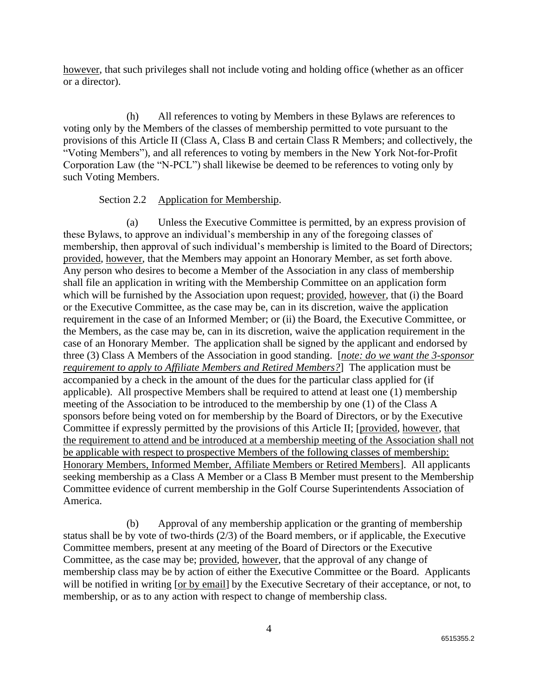however, that such privileges shall not include voting and holding office (whether as an officer or a director).

(h) All references to voting by Members in these Bylaws are references to voting only by the Members of the classes of membership permitted to vote pursuant to the provisions of this Article II (Class A, Class B and certain Class R Members; and collectively, the "Voting Members"), and all references to voting by members in the New York Not-for-Profit Corporation Law (the "N-PCL") shall likewise be deemed to be references to voting only by such Voting Members.

## Section 2.2 Application for Membership.

(a) Unless the Executive Committee is permitted, by an express provision of these Bylaws, to approve an individual's membership in any of the foregoing classes of membership, then approval of such individual's membership is limited to the Board of Directors; provided, however, that the Members may appoint an Honorary Member, as set forth above. Any person who desires to become a Member of the Association in any class of membership shall file an application in writing with the Membership Committee on an application form which will be furnished by the Association upon request; provided, however, that (i) the Board or the Executive Committee, as the case may be, can in its discretion, waive the application requirement in the case of an Informed Member; or (ii) the Board, the Executive Committee, or the Members, as the case may be, can in its discretion, waive the application requirement in the case of an Honorary Member. The application shall be signed by the applicant and endorsed by three (3) Class A Members of the Association in good standing. [*note: do we want the 3-sponsor requirement to apply to Affiliate Members and Retired Members?*] The application must be accompanied by a check in the amount of the dues for the particular class applied for (if applicable). All prospective Members shall be required to attend at least one (1) membership meeting of the Association to be introduced to the membership by one (1) of the Class A sponsors before being voted on for membership by the Board of Directors, or by the Executive Committee if expressly permitted by the provisions of this Article II; [provided, however, that the requirement to attend and be introduced at a membership meeting of the Association shall not be applicable with respect to prospective Members of the following classes of membership: Honorary Members, Informed Member, Affiliate Members or Retired Members]. All applicants seeking membership as a Class A Member or a Class B Member must present to the Membership Committee evidence of current membership in the Golf Course Superintendents Association of America.

(b) Approval of any membership application or the granting of membership status shall be by vote of two-thirds (2/3) of the Board members, or if applicable, the Executive Committee members, present at any meeting of the Board of Directors or the Executive Committee, as the case may be; provided, however, that the approval of any change of membership class may be by action of either the Executive Committee or the Board. Applicants will be notified in writing [or by email] by the Executive Secretary of their acceptance, or not, to membership, or as to any action with respect to change of membership class.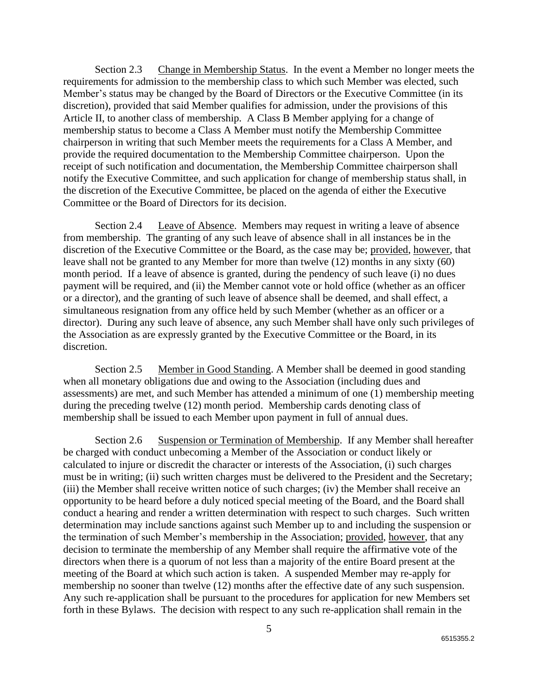Section 2.3 Change in Membership Status. In the event a Member no longer meets the requirements for admission to the membership class to which such Member was elected, such Member's status may be changed by the Board of Directors or the Executive Committee (in its discretion), provided that said Member qualifies for admission, under the provisions of this Article II, to another class of membership. A Class B Member applying for a change of membership status to become a Class A Member must notify the Membership Committee chairperson in writing that such Member meets the requirements for a Class A Member, and provide the required documentation to the Membership Committee chairperson. Upon the receipt of such notification and documentation, the Membership Committee chairperson shall notify the Executive Committee, and such application for change of membership status shall, in the discretion of the Executive Committee, be placed on the agenda of either the Executive Committee or the Board of Directors for its decision.

Section 2.4 Leave of Absence. Members may request in writing a leave of absence from membership. The granting of any such leave of absence shall in all instances be in the discretion of the Executive Committee or the Board, as the case may be; provided, however, that leave shall not be granted to any Member for more than twelve (12) months in any sixty (60) month period. If a leave of absence is granted, during the pendency of such leave (i) no dues payment will be required, and (ii) the Member cannot vote or hold office (whether as an officer or a director), and the granting of such leave of absence shall be deemed, and shall effect, a simultaneous resignation from any office held by such Member (whether as an officer or a director). During any such leave of absence, any such Member shall have only such privileges of the Association as are expressly granted by the Executive Committee or the Board, in its discretion.

Section 2.5 Member in Good Standing. A Member shall be deemed in good standing when all monetary obligations due and owing to the Association (including dues and assessments) are met, and such Member has attended a minimum of one (1) membership meeting during the preceding twelve (12) month period. Membership cards denoting class of membership shall be issued to each Member upon payment in full of annual dues.

Section 2.6 Suspension or Termination of Membership. If any Member shall hereafter be charged with conduct unbecoming a Member of the Association or conduct likely or calculated to injure or discredit the character or interests of the Association, (i) such charges must be in writing; (ii) such written charges must be delivered to the President and the Secretary; (iii) the Member shall receive written notice of such charges; (iv) the Member shall receive an opportunity to be heard before a duly noticed special meeting of the Board, and the Board shall conduct a hearing and render a written determination with respect to such charges. Such written determination may include sanctions against such Member up to and including the suspension or the termination of such Member's membership in the Association; provided, however, that any decision to terminate the membership of any Member shall require the affirmative vote of the directors when there is a quorum of not less than a majority of the entire Board present at the meeting of the Board at which such action is taken. A suspended Member may re-apply for membership no sooner than twelve (12) months after the effective date of any such suspension. Any such re-application shall be pursuant to the procedures for application for new Members set forth in these Bylaws. The decision with respect to any such re-application shall remain in the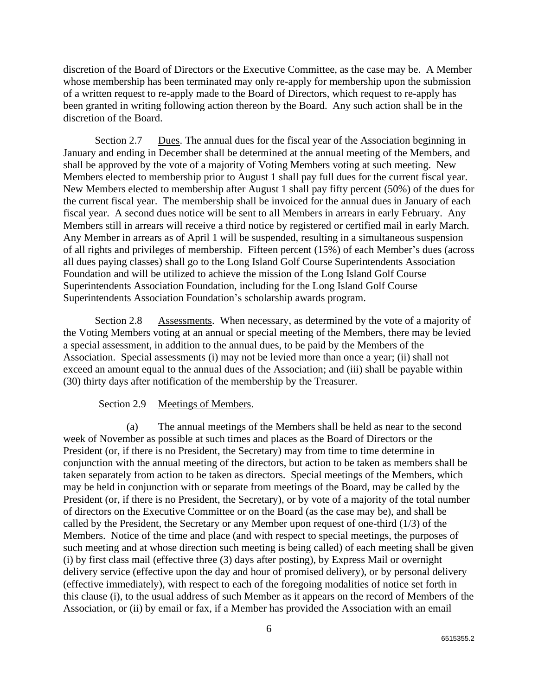discretion of the Board of Directors or the Executive Committee, as the case may be. A Member whose membership has been terminated may only re-apply for membership upon the submission of a written request to re-apply made to the Board of Directors, which request to re-apply has been granted in writing following action thereon by the Board. Any such action shall be in the discretion of the Board.

Section 2.7 Dues. The annual dues for the fiscal year of the Association beginning in January and ending in December shall be determined at the annual meeting of the Members, and shall be approved by the vote of a majority of Voting Members voting at such meeting. New Members elected to membership prior to August 1 shall pay full dues for the current fiscal year. New Members elected to membership after August 1 shall pay fifty percent (50%) of the dues for the current fiscal year. The membership shall be invoiced for the annual dues in January of each fiscal year. A second dues notice will be sent to all Members in arrears in early February. Any Members still in arrears will receive a third notice by registered or certified mail in early March. Any Member in arrears as of April 1 will be suspended, resulting in a simultaneous suspension of all rights and privileges of membership. Fifteen percent (15%) of each Member's dues (across all dues paying classes) shall go to the Long Island Golf Course Superintendents Association Foundation and will be utilized to achieve the mission of the Long Island Golf Course Superintendents Association Foundation, including for the Long Island Golf Course Superintendents Association Foundation's scholarship awards program.

Section 2.8 Assessments. When necessary, as determined by the vote of a majority of the Voting Members voting at an annual or special meeting of the Members, there may be levied a special assessment, in addition to the annual dues, to be paid by the Members of the Association. Special assessments (i) may not be levied more than once a year; (ii) shall not exceed an amount equal to the annual dues of the Association; and (iii) shall be payable within (30) thirty days after notification of the membership by the Treasurer.

## Section 2.9 Meetings of Members.

(a) The annual meetings of the Members shall be held as near to the second week of November as possible at such times and places as the Board of Directors or the President (or, if there is no President, the Secretary) may from time to time determine in conjunction with the annual meeting of the directors, but action to be taken as members shall be taken separately from action to be taken as directors.Special meetings of the Members, which may be held in conjunction with or separate from meetings of the Board, may be called by the President (or, if there is no President, the Secretary), or by vote of a majority of the total number of directors on the Executive Committee or on the Board (as the case may be), and shall be called by the President, the Secretary or any Member upon request of one-third (1/3) of the Members. Notice of the time and place (and with respect to special meetings, the purposes of such meeting and at whose direction such meeting is being called) of each meeting shall be given (i) by first class mail (effective three (3) days after posting), by Express Mail or overnight delivery service (effective upon the day and hour of promised delivery), or by personal delivery (effective immediately), with respect to each of the foregoing modalities of notice set forth in this clause (i), to the usual address of such Member as it appears on the record of Members of the Association, or (ii) by email or fax, if a Member has provided the Association with an email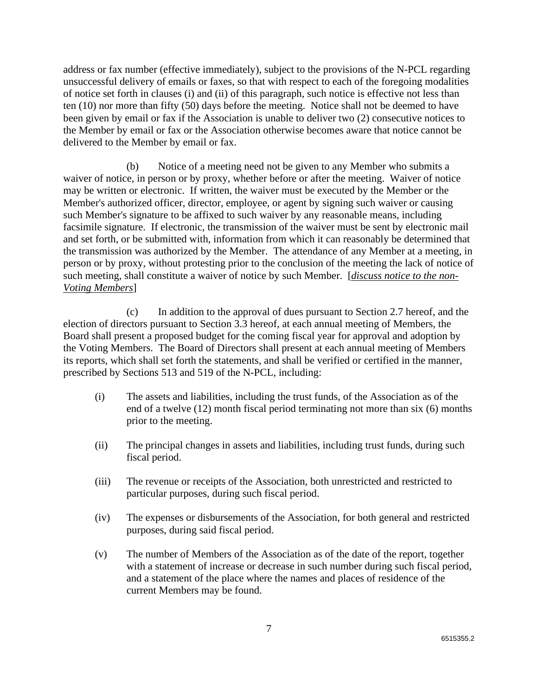address or fax number (effective immediately), subject to the provisions of the N-PCL regarding unsuccessful delivery of emails or faxes, so that with respect to each of the foregoing modalities of notice set forth in clauses (i) and (ii) of this paragraph, such notice is effective not less than ten (10) nor more than fifty (50) days before the meeting. Notice shall not be deemed to have been given by email or fax if the Association is unable to deliver two (2) consecutive notices to the Member by email or fax or the Association otherwise becomes aware that notice cannot be delivered to the Member by email or fax.

(b) Notice of a meeting need not be given to any Member who submits a waiver of notice, in person or by proxy, whether before or after the meeting. Waiver of notice may be written or electronic. If written, the waiver must be executed by the Member or the Member's authorized officer, director, employee, or agent by signing such waiver or causing such Member's signature to be affixed to such waiver by any reasonable means, including facsimile signature. If electronic, the transmission of the waiver must be sent by electronic mail and set forth, or be submitted with, information from which it can reasonably be determined that the transmission was authorized by the Member. The attendance of any Member at a meeting, in person or by proxy, without protesting prior to the conclusion of the meeting the lack of notice of such meeting, shall constitute a waiver of notice by such Member. [*discuss notice to the non-Voting Members*]

(c) In addition to the approval of dues pursuant to Section 2.7 hereof, and the election of directors pursuant to Section 3.3 hereof, at each annual meeting of Members, the Board shall present a proposed budget for the coming fiscal year for approval and adoption by the Voting Members. The Board of Directors shall present at each annual meeting of Members its reports, which shall set forth the statements, and shall be verified or certified in the manner, prescribed by Sections 513 and 519 of the N-PCL, including:

- (i) The assets and liabilities, including the trust funds, of the Association as of the end of a twelve (12) month fiscal period terminating not more than six (6) months prior to the meeting.
- (ii) The principal changes in assets and liabilities, including trust funds, during such fiscal period.
- (iii) The revenue or receipts of the Association, both unrestricted and restricted to particular purposes, during such fiscal period.
- (iv) The expenses or disbursements of the Association, for both general and restricted purposes, during said fiscal period.
- (v) The number of Members of the Association as of the date of the report, together with a statement of increase or decrease in such number during such fiscal period, and a statement of the place where the names and places of residence of the current Members may be found.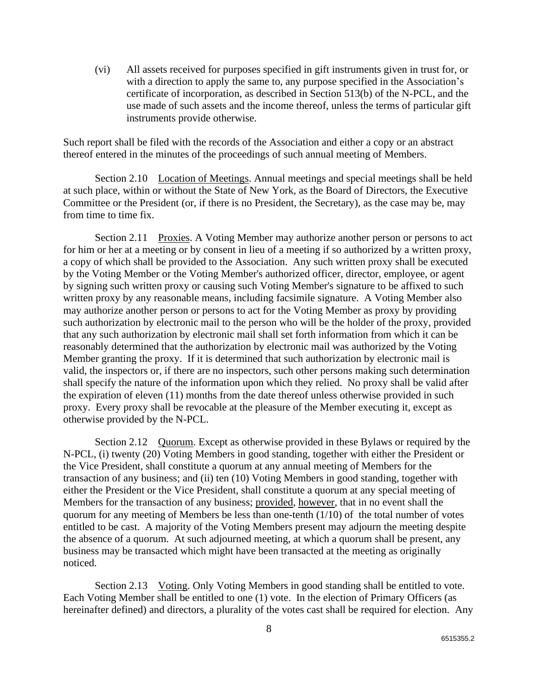(vi) All assets received for purposes specified in gift instruments given in trust for, or with a direction to apply the same to, any purpose specified in the Association's certificate of incorporation, as described in Section 513(b) of the N-PCL, and the use made of such assets and the income thereof, unless the terms of particular gift instruments provide otherwise.

Such report shall be filed with the records of the Association and either a copy or an abstract thereof entered in the minutes of the proceedings of such annual meeting of Members.

Section 2.10 Location of Meetings. Annual meetings and special meetings shall be held at such place, within or without the State of New York, as the Board of Directors, the Executive Committee or the President (or, if there is no President, the Secretary), as the case may be, may from time to time fix.

Section 2.11 Proxies. A Voting Member may authorize another person or persons to act for him or her at a meeting or by consent in lieu of a meeting if so authorized by a written proxy, a copy of which shall be provided to the Association. Any such written proxy shall be executed by the Voting Member or the Voting Member's authorized officer, director, employee, or agent by signing such written proxy or causing such Voting Member's signature to be affixed to such written proxy by any reasonable means, including facsimile signature. A Voting Member also may authorize another person or persons to act for the Voting Member as proxy by providing such authorization by electronic mail to the person who will be the holder of the proxy, provided that any such authorization by electronic mail shall set forth information from which it can be reasonably determined that the authorization by electronic mail was authorized by the Voting Member granting the proxy. If it is determined that such authorization by electronic mail is valid, the inspectors or, if there are no inspectors, such other persons making such determination shall specify the nature of the information upon which they relied. No proxy shall be valid after the expiration of eleven (11) months from the date thereof unless otherwise provided in such proxy. Every proxy shall be revocable at the pleasure of the Member executing it, except as otherwise provided by the N-PCL.

Section 2.12 Quorum. Except as otherwise provided in these Bylaws or required by the N-PCL, (i) twenty (20) Voting Members in good standing, together with either the President or the Vice President, shall constitute a quorum at any annual meeting of Members for the transaction of any business; and (ii) ten (10) Voting Members in good standing, together with either the President or the Vice President, shall constitute a quorum at any special meeting of Members for the transaction of any business; provided, however, that in no event shall the quorum for any meeting of Members be less than one-tenth  $(1/10)$  of the total number of votes entitled to be cast. A majority of the Voting Members present may adjourn the meeting despite the absence of a quorum. At such adjourned meeting, at which a quorum shall be present, any business may be transacted which might have been transacted at the meeting as originally noticed.

Section 2.13 Voting. Only Voting Members in good standing shall be entitled to vote. Each Voting Member shall be entitled to one (1) vote. In the election of Primary Officers (as hereinafter defined) and directors, a plurality of the votes cast shall be required for election. Any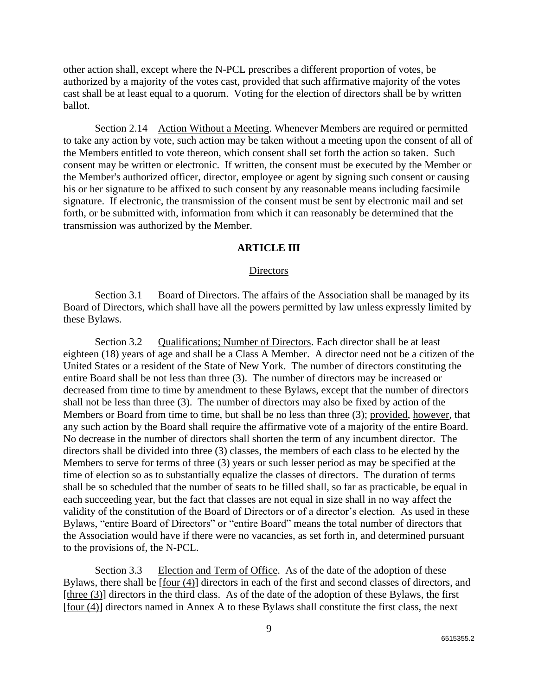other action shall, except where the N-PCL prescribes a different proportion of votes, be authorized by a majority of the votes cast, provided that such affirmative majority of the votes cast shall be at least equal to a quorum. Voting for the election of directors shall be by written ballot.

Section 2.14 Action Without a Meeting. Whenever Members are required or permitted to take any action by vote, such action may be taken without a meeting upon the consent of all of the Members entitled to vote thereon, which consent shall set forth the action so taken. Such consent may be written or electronic. If written, the consent must be executed by the Member or the Member's authorized officer, director, employee or agent by signing such consent or causing his or her signature to be affixed to such consent by any reasonable means including facsimile signature. If electronic, the transmission of the consent must be sent by electronic mail and set forth, or be submitted with, information from which it can reasonably be determined that the transmission was authorized by the Member.

## **ARTICLE III**

## **Directors**

Section 3.1 Board of Directors. The affairs of the Association shall be managed by its Board of Directors, which shall have all the powers permitted by law unless expressly limited by these Bylaws.

Section 3.2 Qualifications; Number of Directors. Each director shall be at least eighteen (18) years of age and shall be a Class A Member. A director need not be a citizen of the United States or a resident of the State of New York. The number of directors constituting the entire Board shall be not less than three (3). The number of directors may be increased or decreased from time to time by amendment to these Bylaws, except that the number of directors shall not be less than three (3). The number of directors may also be fixed by action of the Members or Board from time to time, but shall be no less than three (3); provided, however, that any such action by the Board shall require the affirmative vote of a majority of the entire Board. No decrease in the number of directors shall shorten the term of any incumbent director. The directors shall be divided into three (3) classes, the members of each class to be elected by the Members to serve for terms of three (3) years or such lesser period as may be specified at the time of election so as to substantially equalize the classes of directors. The duration of terms shall be so scheduled that the number of seats to be filled shall, so far as practicable, be equal in each succeeding year, but the fact that classes are not equal in size shall in no way affect the validity of the constitution of the Board of Directors or of a director's election. As used in these Bylaws, "entire Board of Directors" or "entire Board" means the total number of directors that the Association would have if there were no vacancies, as set forth in, and determined pursuant to the provisions of, the N-PCL.

Section 3.3 Election and Term of Office. As of the date of the adoption of these Bylaws, there shall be [four (4)] directors in each of the first and second classes of directors, and [three (3)] directors in the third class. As of the date of the adoption of these Bylaws, the first [four (4)] directors named in Annex A to these Bylaws shall constitute the first class, the next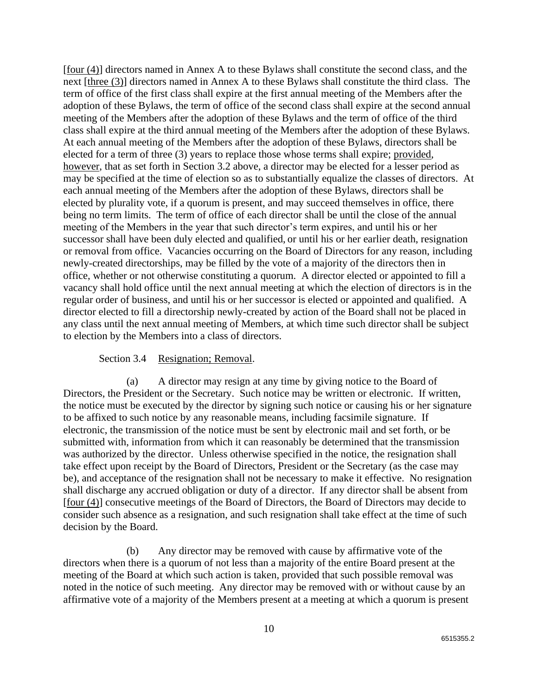[four (4)] directors named in Annex A to these Bylaws shall constitute the second class, and the next [three (3)] directors named in Annex A to these Bylaws shall constitute the third class. The term of office of the first class shall expire at the first annual meeting of the Members after the adoption of these Bylaws, the term of office of the second class shall expire at the second annual meeting of the Members after the adoption of these Bylaws and the term of office of the third class shall expire at the third annual meeting of the Members after the adoption of these Bylaws. At each annual meeting of the Members after the adoption of these Bylaws, directors shall be elected for a term of three (3) years to replace those whose terms shall expire; provided, however, that as set forth in Section 3.2 above, a director may be elected for a lesser period as may be specified at the time of election so as to substantially equalize the classes of directors. At each annual meeting of the Members after the adoption of these Bylaws, directors shall be elected by plurality vote, if a quorum is present, and may succeed themselves in office, there being no term limits. The term of office of each director shall be until the close of the annual meeting of the Members in the year that such director's term expires, and until his or her successor shall have been duly elected and qualified, or until his or her earlier death, resignation or removal from office. Vacancies occurring on the Board of Directors for any reason, including newly-created directorships, may be filled by the vote of a majority of the directors then in office, whether or not otherwise constituting a quorum. A director elected or appointed to fill a vacancy shall hold office until the next annual meeting at which the election of directors is in the regular order of business, and until his or her successor is elected or appointed and qualified. A director elected to fill a directorship newly-created by action of the Board shall not be placed in any class until the next annual meeting of Members, at which time such director shall be subject to election by the Members into a class of directors.

## Section 3.4 Resignation; Removal.

(a) A director may resign at any time by giving notice to the Board of Directors, the President or the Secretary. Such notice may be written or electronic. If written, the notice must be executed by the director by signing such notice or causing his or her signature to be affixed to such notice by any reasonable means, including facsimile signature. If electronic, the transmission of the notice must be sent by electronic mail and set forth, or be submitted with, information from which it can reasonably be determined that the transmission was authorized by the director. Unless otherwise specified in the notice, the resignation shall take effect upon receipt by the Board of Directors, President or the Secretary (as the case may be), and acceptance of the resignation shall not be necessary to make it effective. No resignation shall discharge any accrued obligation or duty of a director. If any director shall be absent from [four (4)] consecutive meetings of the Board of Directors, the Board of Directors may decide to consider such absence as a resignation, and such resignation shall take effect at the time of such decision by the Board.

(b) Any director may be removed with cause by affirmative vote of the directors when there is a quorum of not less than a majority of the entire Board present at the meeting of the Board at which such action is taken, provided that such possible removal was noted in the notice of such meeting. Any director may be removed with or without cause by an affirmative vote of a majority of the Members present at a meeting at which a quorum is present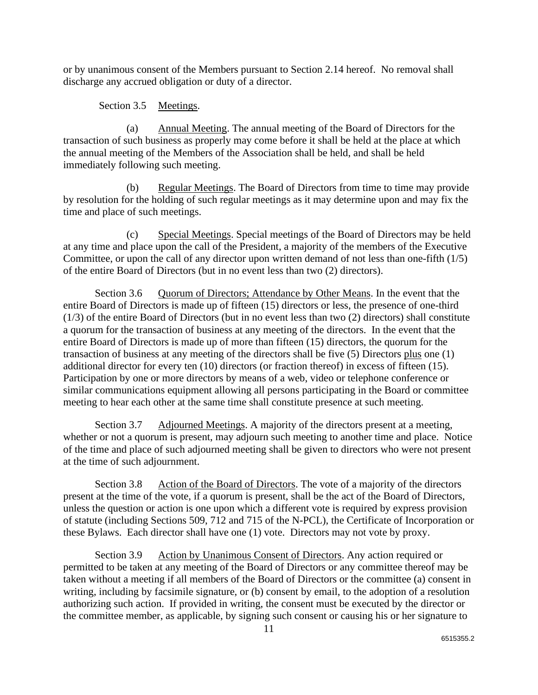or by unanimous consent of the Members pursuant to Section 2.14 hereof. No removal shall discharge any accrued obligation or duty of a director.

Section 3.5 Meetings.

(a) Annual Meeting. The annual meeting of the Board of Directors for the transaction of such business as properly may come before it shall be held at the place at which the annual meeting of the Members of the Association shall be held, and shall be held immediately following such meeting.

(b) Regular Meetings. The Board of Directors from time to time may provide by resolution for the holding of such regular meetings as it may determine upon and may fix the time and place of such meetings.

(c) Special Meetings. Special meetings of the Board of Directors may be held at any time and place upon the call of the President, a majority of the members of the Executive Committee, or upon the call of any director upon written demand of not less than one-fifth (1/5) of the entire Board of Directors (but in no event less than two (2) directors).

Section 3.6 Quorum of Directors; Attendance by Other Means. In the event that the entire Board of Directors is made up of fifteen (15) directors or less, the presence of one-third (1/3) of the entire Board of Directors (but in no event less than two (2) directors) shall constitute a quorum for the transaction of business at any meeting of the directors. In the event that the entire Board of Directors is made up of more than fifteen (15) directors, the quorum for the transaction of business at any meeting of the directors shall be five (5) Directors plus one (1) additional director for every ten (10) directors (or fraction thereof) in excess of fifteen (15). Participation by one or more directors by means of a web, video or telephone conference or similar communications equipment allowing all persons participating in the Board or committee meeting to hear each other at the same time shall constitute presence at such meeting.

Section 3.7 Adjourned Meetings. A majority of the directors present at a meeting, whether or not a quorum is present, may adjourn such meeting to another time and place. Notice of the time and place of such adjourned meeting shall be given to directors who were not present at the time of such adjournment.

Section 3.8 Action of the Board of Directors. The vote of a majority of the directors present at the time of the vote, if a quorum is present, shall be the act of the Board of Directors, unless the question or action is one upon which a different vote is required by express provision of statute (including Sections 509, 712 and 715 of the N-PCL), the Certificate of Incorporation or these Bylaws. Each director shall have one (1) vote. Directors may not vote by proxy.

Section 3.9 Action by Unanimous Consent of Directors. Any action required or permitted to be taken at any meeting of the Board of Directors or any committee thereof may be taken without a meeting if all members of the Board of Directors or the committee (a) consent in writing, including by facsimile signature, or (b) consent by email, to the adoption of a resolution authorizing such action. If provided in writing, the consent must be executed by the director or the committee member, as applicable, by signing such consent or causing his or her signature to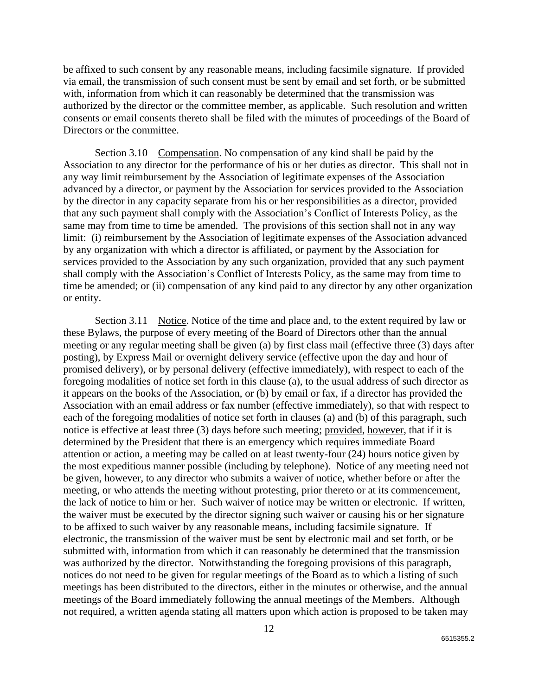be affixed to such consent by any reasonable means, including facsimile signature. If provided via email, the transmission of such consent must be sent by email and set forth, or be submitted with, information from which it can reasonably be determined that the transmission was authorized by the director or the committee member, as applicable. Such resolution and written consents or email consents thereto shall be filed with the minutes of proceedings of the Board of Directors or the committee.

Section 3.10 Compensation. No compensation of any kind shall be paid by the Association to any director for the performance of his or her duties as director. This shall not in any way limit reimbursement by the Association of legitimate expenses of the Association advanced by a director, or payment by the Association for services provided to the Association by the director in any capacity separate from his or her responsibilities as a director, provided that any such payment shall comply with the Association's Conflict of Interests Policy, as the same may from time to time be amended. The provisions of this section shall not in any way limit: (i) reimbursement by the Association of legitimate expenses of the Association advanced by any organization with which a director is affiliated, or payment by the Association for services provided to the Association by any such organization, provided that any such payment shall comply with the Association's Conflict of Interests Policy, as the same may from time to time be amended; or (ii) compensation of any kind paid to any director by any other organization or entity.

Section 3.11 Notice. Notice of the time and place and, to the extent required by law or these Bylaws, the purpose of every meeting of the Board of Directors other than the annual meeting or any regular meeting shall be given (a) by first class mail (effective three (3) days after posting), by Express Mail or overnight delivery service (effective upon the day and hour of promised delivery), or by personal delivery (effective immediately), with respect to each of the foregoing modalities of notice set forth in this clause (a), to the usual address of such director as it appears on the books of the Association, or (b) by email or fax, if a director has provided the Association with an email address or fax number (effective immediately), so that with respect to each of the foregoing modalities of notice set forth in clauses (a) and (b) of this paragraph, such notice is effective at least three (3) days before such meeting; provided, however, that if it is determined by the President that there is an emergency which requires immediate Board attention or action, a meeting may be called on at least twenty-four (24) hours notice given by the most expeditious manner possible (including by telephone). Notice of any meeting need not be given, however, to any director who submits a waiver of notice, whether before or after the meeting, or who attends the meeting without protesting, prior thereto or at its commencement, the lack of notice to him or her. Such waiver of notice may be written or electronic. If written, the waiver must be executed by the director signing such waiver or causing his or her signature to be affixed to such waiver by any reasonable means, including facsimile signature. If electronic, the transmission of the waiver must be sent by electronic mail and set forth, or be submitted with, information from which it can reasonably be determined that the transmission was authorized by the director. Notwithstanding the foregoing provisions of this paragraph, notices do not need to be given for regular meetings of the Board as to which a listing of such meetings has been distributed to the directors, either in the minutes or otherwise, and the annual meetings of the Board immediately following the annual meetings of the Members. Although not required, a written agenda stating all matters upon which action is proposed to be taken may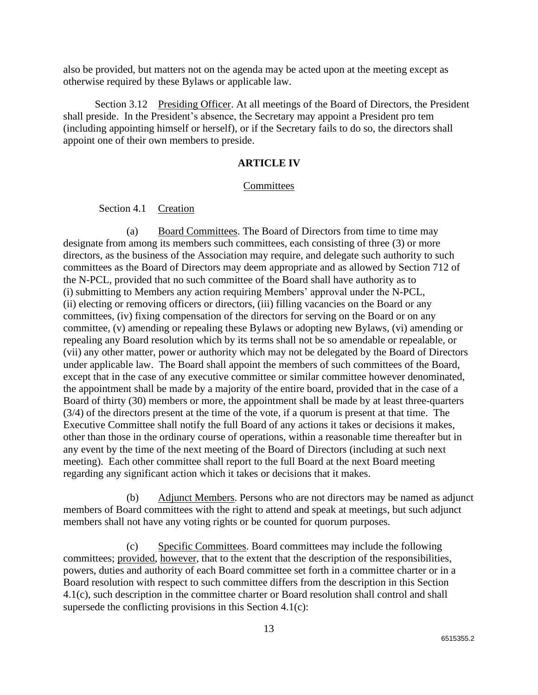also be provided, but matters not on the agenda may be acted upon at the meeting except as otherwise required by these Bylaws or applicable law.

Section 3.12 Presiding Officer. At all meetings of the Board of Directors, the President shall preside. In the President's absence, the Secretary may appoint a President pro tem (including appointing himself or herself), or if the Secretary fails to do so, the directors shall appoint one of their own members to preside.

## **ARTICLE IV**

## **Committees**

Section 4.1 Creation

(a) Board Committees. The Board of Directors from time to time may designate from among its members such committees, each consisting of three (3) or more directors, as the business of the Association may require, and delegate such authority to such committees as the Board of Directors may deem appropriate and as allowed by Section 712 of the N-PCL, provided that no such committee of the Board shall have authority as to (i) submitting to Members any action requiring Members' approval under the N-PCL, (ii) electing or removing officers or directors, (iii) filling vacancies on the Board or any committees, (iv) fixing compensation of the directors for serving on the Board or on any committee, (v) amending or repealing these Bylaws or adopting new Bylaws, (vi) amending or repealing any Board resolution which by its terms shall not be so amendable or repealable, or (vii) any other matter, power or authority which may not be delegated by the Board of Directors under applicable law. The Board shall appoint the members of such committees of the Board, except that in the case of any executive committee or similar committee however denominated, the appointment shall be made by a majority of the entire board, provided that in the case of a Board of thirty (30) members or more, the appointment shall be made by at least three-quarters (3/4) of the directors present at the time of the vote, if a quorum is present at that time. The Executive Committee shall notify the full Board of any actions it takes or decisions it makes, other than those in the ordinary course of operations, within a reasonable time thereafter but in any event by the time of the next meeting of the Board of Directors (including at such next meeting). Each other committee shall report to the full Board at the next Board meeting regarding any significant action which it takes or decisions that it makes.

(b) Adjunct Members. Persons who are not directors may be named as adjunct members of Board committees with the right to attend and speak at meetings, but such adjunct members shall not have any voting rights or be counted for quorum purposes.

(c) Specific Committees. Board committees may include the following committees; provided, however, that to the extent that the description of the responsibilities, powers, duties and authority of each Board committee set forth in a committee charter or in a Board resolution with respect to such committee differs from the description in this Section 4.1(c), such description in the committee charter or Board resolution shall control and shall supersede the conflicting provisions in this Section 4.1(c):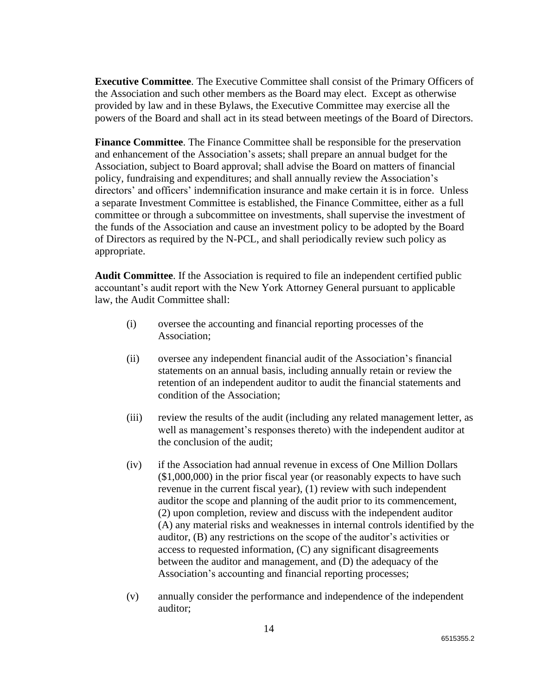**Executive Committee**. The Executive Committee shall consist of the Primary Officers of the Association and such other members as the Board may elect. Except as otherwise provided by law and in these Bylaws, the Executive Committee may exercise all the powers of the Board and shall act in its stead between meetings of the Board of Directors.

**Finance Committee**. The Finance Committee shall be responsible for the preservation and enhancement of the Association's assets; shall prepare an annual budget for the Association, subject to Board approval; shall advise the Board on matters of financial policy, fundraising and expenditures; and shall annually review the Association's directors' and officers' indemnification insurance and make certain it is in force. Unless a separate Investment Committee is established, the Finance Committee, either as a full committee or through a subcommittee on investments, shall supervise the investment of the funds of the Association and cause an investment policy to be adopted by the Board of Directors as required by the N-PCL, and shall periodically review such policy as appropriate.

**Audit Committee**. If the Association is required to file an independent certified public accountant's audit report with the New York Attorney General pursuant to applicable law, the Audit Committee shall:

- (i) oversee the accounting and financial reporting processes of the Association;
- (ii) oversee any independent financial audit of the Association's financial statements on an annual basis, including annually retain or review the retention of an independent auditor to audit the financial statements and condition of the Association;
- (iii) review the results of the audit (including any related management letter, as well as management's responses thereto) with the independent auditor at the conclusion of the audit;
- (iv) if the Association had annual revenue in excess of One Million Dollars (\$1,000,000) in the prior fiscal year (or reasonably expects to have such revenue in the current fiscal year), (1) review with such independent auditor the scope and planning of the audit prior to its commencement, (2) upon completion, review and discuss with the independent auditor (A) any material risks and weaknesses in internal controls identified by the auditor, (B) any restrictions on the scope of the auditor's activities or access to requested information, (C) any significant disagreements between the auditor and management, and (D) the adequacy of the Association's accounting and financial reporting processes;
- (v) annually consider the performance and independence of the independent auditor;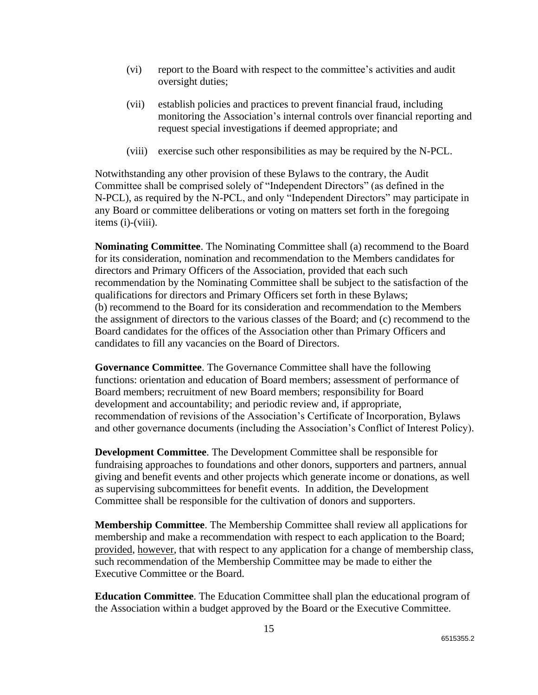- (vi) report to the Board with respect to the committee's activities and audit oversight duties;
- (vii) establish policies and practices to prevent financial fraud, including monitoring the Association's internal controls over financial reporting and request special investigations if deemed appropriate; and
- (viii) exercise such other responsibilities as may be required by the N-PCL.

Notwithstanding any other provision of these Bylaws to the contrary, the Audit Committee shall be comprised solely of "Independent Directors" (as defined in the N-PCL), as required by the N-PCL, and only "Independent Directors" may participate in any Board or committee deliberations or voting on matters set forth in the foregoing items (i)-(viii).

**Nominating Committee**. The Nominating Committee shall (a) recommend to the Board for its consideration, nomination and recommendation to the Members candidates for directors and Primary Officers of the Association, provided that each such recommendation by the Nominating Committee shall be subject to the satisfaction of the qualifications for directors and Primary Officers set forth in these Bylaws; (b) recommend to the Board for its consideration and recommendation to the Members the assignment of directors to the various classes of the Board; and (c) recommend to the Board candidates for the offices of the Association other than Primary Officers and candidates to fill any vacancies on the Board of Directors.

**Governance Committee**. The Governance Committee shall have the following functions: orientation and education of Board members; assessment of performance of Board members; recruitment of new Board members; responsibility for Board development and accountability; and periodic review and, if appropriate, recommendation of revisions of the Association's Certificate of Incorporation, Bylaws and other governance documents (including the Association's Conflict of Interest Policy).

**Development Committee**. The Development Committee shall be responsible for fundraising approaches to foundations and other donors, supporters and partners, annual giving and benefit events and other projects which generate income or donations, as well as supervising subcommittees for benefit events. In addition, the Development Committee shall be responsible for the cultivation of donors and supporters.

**Membership Committee**. The Membership Committee shall review all applications for membership and make a recommendation with respect to each application to the Board; provided, however, that with respect to any application for a change of membership class, such recommendation of the Membership Committee may be made to either the Executive Committee or the Board.

**Education Committee**. The Education Committee shall plan the educational program of the Association within a budget approved by the Board or the Executive Committee.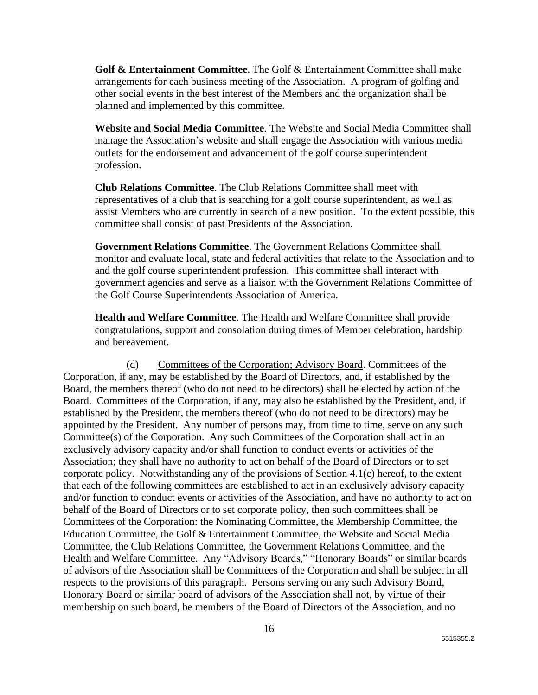**Golf & Entertainment Committee**. The Golf & Entertainment Committee shall make arrangements for each business meeting of the Association. A program of golfing and other social events in the best interest of the Members and the organization shall be planned and implemented by this committee.

**Website and Social Media Committee**. The Website and Social Media Committee shall manage the Association's website and shall engage the Association with various media outlets for the endorsement and advancement of the golf course superintendent profession.

**Club Relations Committee**. The Club Relations Committee shall meet with representatives of a club that is searching for a golf course superintendent, as well as assist Members who are currently in search of a new position. To the extent possible, this committee shall consist of past Presidents of the Association.

**Government Relations Committee**. The Government Relations Committee shall monitor and evaluate local, state and federal activities that relate to the Association and to and the golf course superintendent profession. This committee shall interact with government agencies and serve as a liaison with the Government Relations Committee of the Golf Course Superintendents Association of America.

**Health and Welfare Committee**. The Health and Welfare Committee shall provide congratulations, support and consolation during times of Member celebration, hardship and bereavement.

(d) Committees of the Corporation; Advisory Board. Committees of the Corporation, if any, may be established by the Board of Directors, and, if established by the Board, the members thereof (who do not need to be directors) shall be elected by action of the Board. Committees of the Corporation, if any, may also be established by the President, and, if established by the President, the members thereof (who do not need to be directors) may be appointed by the President. Any number of persons may, from time to time, serve on any such Committee(s) of the Corporation. Any such Committees of the Corporation shall act in an exclusively advisory capacity and/or shall function to conduct events or activities of the Association; they shall have no authority to act on behalf of the Board of Directors or to set corporate policy. Notwithstanding any of the provisions of Section 4.1(c) hereof, to the extent that each of the following committees are established to act in an exclusively advisory capacity and/or function to conduct events or activities of the Association, and have no authority to act on behalf of the Board of Directors or to set corporate policy, then such committees shall be Committees of the Corporation: the Nominating Committee, the Membership Committee, the Education Committee, the Golf & Entertainment Committee, the Website and Social Media Committee, the Club Relations Committee, the Government Relations Committee, and the Health and Welfare Committee. Any "Advisory Boards," "Honorary Boards" or similar boards of advisors of the Association shall be Committees of the Corporation and shall be subject in all respects to the provisions of this paragraph. Persons serving on any such Advisory Board, Honorary Board or similar board of advisors of the Association shall not, by virtue of their membership on such board, be members of the Board of Directors of the Association, and no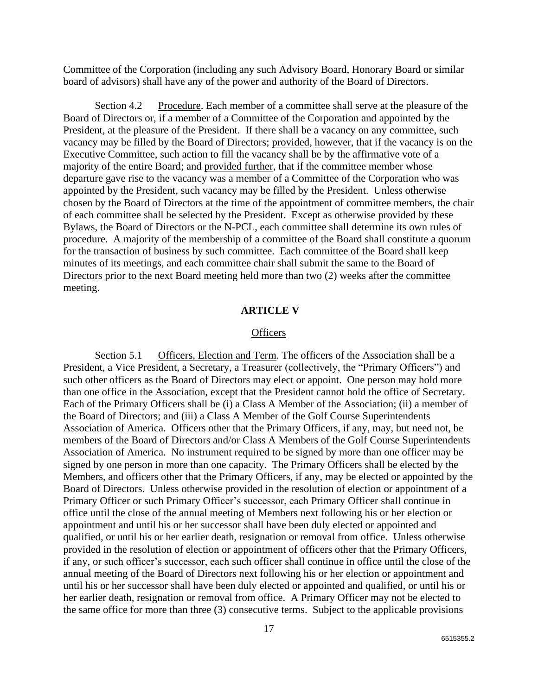Committee of the Corporation (including any such Advisory Board, Honorary Board or similar board of advisors) shall have any of the power and authority of the Board of Directors.

Section 4.2 Procedure. Each member of a committee shall serve at the pleasure of the Board of Directors or, if a member of a Committee of the Corporation and appointed by the President, at the pleasure of the President. If there shall be a vacancy on any committee, such vacancy may be filled by the Board of Directors; provided, however, that if the vacancy is on the Executive Committee, such action to fill the vacancy shall be by the affirmative vote of a majority of the entire Board; and provided further, that if the committee member whose departure gave rise to the vacancy was a member of a Committee of the Corporation who was appointed by the President, such vacancy may be filled by the President. Unless otherwise chosen by the Board of Directors at the time of the appointment of committee members, the chair of each committee shall be selected by the President. Except as otherwise provided by these Bylaws, the Board of Directors or the N-PCL, each committee shall determine its own rules of procedure. A majority of the membership of a committee of the Board shall constitute a quorum for the transaction of business by such committee. Each committee of the Board shall keep minutes of its meetings, and each committee chair shall submit the same to the Board of Directors prior to the next Board meeting held more than two (2) weeks after the committee meeting.

## **ARTICLE V**

## **Officers**

Section 5.1 Officers, Election and Term. The officers of the Association shall be a President, a Vice President, a Secretary, a Treasurer (collectively, the "Primary Officers") and such other officers as the Board of Directors may elect or appoint. One person may hold more than one office in the Association, except that the President cannot hold the office of Secretary. Each of the Primary Officers shall be (i) a Class A Member of the Association; (ii) a member of the Board of Directors; and (iii) a Class A Member of the Golf Course Superintendents Association of America. Officers other that the Primary Officers, if any, may, but need not, be members of the Board of Directors and/or Class A Members of the Golf Course Superintendents Association of America. No instrument required to be signed by more than one officer may be signed by one person in more than one capacity. The Primary Officers shall be elected by the Members, and officers other that the Primary Officers, if any, may be elected or appointed by the Board of Directors. Unless otherwise provided in the resolution of election or appointment of a Primary Officer or such Primary Officer's successor, each Primary Officer shall continue in office until the close of the annual meeting of Members next following his or her election or appointment and until his or her successor shall have been duly elected or appointed and qualified, or until his or her earlier death, resignation or removal from office. Unless otherwise provided in the resolution of election or appointment of officers other that the Primary Officers, if any, or such officer's successor, each such officer shall continue in office until the close of the annual meeting of the Board of Directors next following his or her election or appointment and until his or her successor shall have been duly elected or appointed and qualified, or until his or her earlier death, resignation or removal from office. A Primary Officer may not be elected to the same office for more than three (3) consecutive terms. Subject to the applicable provisions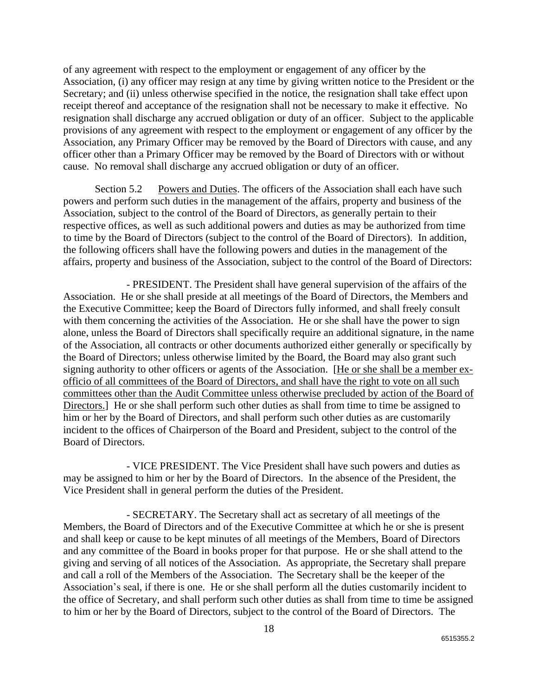of any agreement with respect to the employment or engagement of any officer by the Association, (i) any officer may resign at any time by giving written notice to the President or the Secretary; and (ii) unless otherwise specified in the notice, the resignation shall take effect upon receipt thereof and acceptance of the resignation shall not be necessary to make it effective. No resignation shall discharge any accrued obligation or duty of an officer. Subject to the applicable provisions of any agreement with respect to the employment or engagement of any officer by the Association, any Primary Officer may be removed by the Board of Directors with cause, and any officer other than a Primary Officer may be removed by the Board of Directors with or without cause. No removal shall discharge any accrued obligation or duty of an officer.

Section 5.2 Powers and Duties. The officers of the Association shall each have such powers and perform such duties in the management of the affairs, property and business of the Association, subject to the control of the Board of Directors, as generally pertain to their respective offices, as well as such additional powers and duties as may be authorized from time to time by the Board of Directors (subject to the control of the Board of Directors). In addition, the following officers shall have the following powers and duties in the management of the affairs, property and business of the Association, subject to the control of the Board of Directors:

- PRESIDENT. The President shall have general supervision of the affairs of the Association. He or she shall preside at all meetings of the Board of Directors, the Members and the Executive Committee; keep the Board of Directors fully informed, and shall freely consult with them concerning the activities of the Association. He or she shall have the power to sign alone, unless the Board of Directors shall specifically require an additional signature, in the name of the Association, all contracts or other documents authorized either generally or specifically by the Board of Directors; unless otherwise limited by the Board, the Board may also grant such signing authority to other officers or agents of the Association. [He or she shall be a member exofficio of all committees of the Board of Directors, and shall have the right to vote on all such committees other than the Audit Committee unless otherwise precluded by action of the Board of Directors.] He or she shall perform such other duties as shall from time to time be assigned to him or her by the Board of Directors, and shall perform such other duties as are customarily incident to the offices of Chairperson of the Board and President, subject to the control of the Board of Directors.

- VICE PRESIDENT. The Vice President shall have such powers and duties as may be assigned to him or her by the Board of Directors. In the absence of the President, the Vice President shall in general perform the duties of the President.

- SECRETARY. The Secretary shall act as secretary of all meetings of the Members, the Board of Directors and of the Executive Committee at which he or she is present and shall keep or cause to be kept minutes of all meetings of the Members, Board of Directors and any committee of the Board in books proper for that purpose. He or she shall attend to the giving and serving of all notices of the Association. As appropriate, the Secretary shall prepare and call a roll of the Members of the Association. The Secretary shall be the keeper of the Association's seal, if there is one. He or she shall perform all the duties customarily incident to the office of Secretary, and shall perform such other duties as shall from time to time be assigned to him or her by the Board of Directors, subject to the control of the Board of Directors. The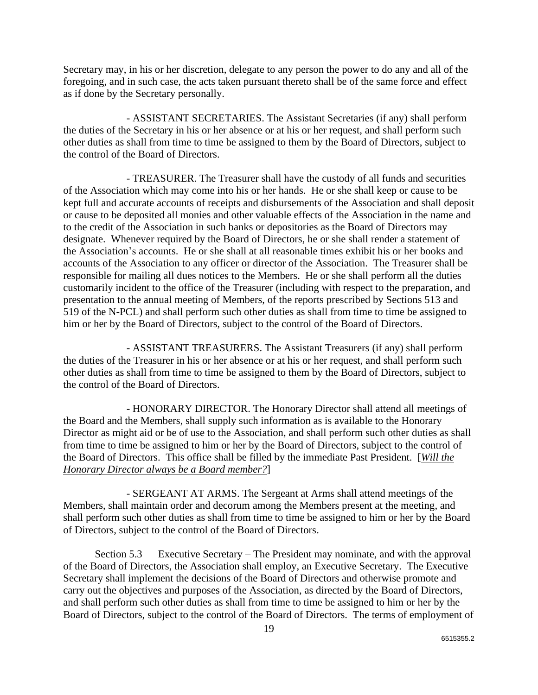Secretary may, in his or her discretion, delegate to any person the power to do any and all of the foregoing, and in such case, the acts taken pursuant thereto shall be of the same force and effect as if done by the Secretary personally.

- ASSISTANT SECRETARIES. The Assistant Secretaries (if any) shall perform the duties of the Secretary in his or her absence or at his or her request, and shall perform such other duties as shall from time to time be assigned to them by the Board of Directors, subject to the control of the Board of Directors.

- TREASURER. The Treasurer shall have the custody of all funds and securities of the Association which may come into his or her hands. He or she shall keep or cause to be kept full and accurate accounts of receipts and disbursements of the Association and shall deposit or cause to be deposited all monies and other valuable effects of the Association in the name and to the credit of the Association in such banks or depositories as the Board of Directors may designate. Whenever required by the Board of Directors, he or she shall render a statement of the Association's accounts. He or she shall at all reasonable times exhibit his or her books and accounts of the Association to any officer or director of the Association. The Treasurer shall be responsible for mailing all dues notices to the Members. He or she shall perform all the duties customarily incident to the office of the Treasurer (including with respect to the preparation, and presentation to the annual meeting of Members, of the reports prescribed by Sections 513 and 519 of the N-PCL) and shall perform such other duties as shall from time to time be assigned to him or her by the Board of Directors, subject to the control of the Board of Directors.

- ASSISTANT TREASURERS. The Assistant Treasurers (if any) shall perform the duties of the Treasurer in his or her absence or at his or her request, and shall perform such other duties as shall from time to time be assigned to them by the Board of Directors, subject to the control of the Board of Directors.

- HONORARY DIRECTOR. The Honorary Director shall attend all meetings of the Board and the Members, shall supply such information as is available to the Honorary Director as might aid or be of use to the Association, and shall perform such other duties as shall from time to time be assigned to him or her by the Board of Directors, subject to the control of the Board of Directors. This office shall be filled by the immediate Past President. [*Will the Honorary Director always be a Board member?*]

- SERGEANT AT ARMS. The Sergeant at Arms shall attend meetings of the Members, shall maintain order and decorum among the Members present at the meeting, and shall perform such other duties as shall from time to time be assigned to him or her by the Board of Directors, subject to the control of the Board of Directors.

Section 5.3 Executive Secretary – The President may nominate, and with the approval of the Board of Directors, the Association shall employ, an Executive Secretary. The Executive Secretary shall implement the decisions of the Board of Directors and otherwise promote and carry out the objectives and purposes of the Association, as directed by the Board of Directors, and shall perform such other duties as shall from time to time be assigned to him or her by the Board of Directors, subject to the control of the Board of Directors. The terms of employment of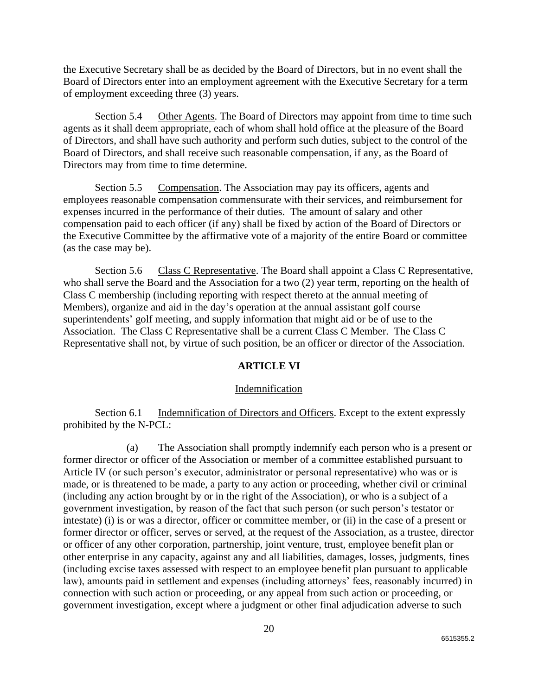the Executive Secretary shall be as decided by the Board of Directors, but in no event shall the Board of Directors enter into an employment agreement with the Executive Secretary for a term of employment exceeding three (3) years.

Section 5.4 Other Agents. The Board of Directors may appoint from time to time such agents as it shall deem appropriate, each of whom shall hold office at the pleasure of the Board of Directors, and shall have such authority and perform such duties, subject to the control of the Board of Directors, and shall receive such reasonable compensation, if any, as the Board of Directors may from time to time determine.

Section 5.5 Compensation. The Association may pay its officers, agents and employees reasonable compensation commensurate with their services, and reimbursement for expenses incurred in the performance of their duties. The amount of salary and other compensation paid to each officer (if any) shall be fixed by action of the Board of Directors or the Executive Committee by the affirmative vote of a majority of the entire Board or committee (as the case may be).

Section 5.6 Class C Representative. The Board shall appoint a Class C Representative, who shall serve the Board and the Association for a two (2) year term, reporting on the health of Class C membership (including reporting with respect thereto at the annual meeting of Members), organize and aid in the day's operation at the annual assistant golf course superintendents' golf meeting, and supply information that might aid or be of use to the Association. The Class C Representative shall be a current Class C Member. The Class C Representative shall not, by virtue of such position, be an officer or director of the Association.

## **ARTICLE VI**

### Indemnification

Section 6.1 Indemnification of Directors and Officers. Except to the extent expressly prohibited by the N-PCL:

(a) The Association shall promptly indemnify each person who is a present or former director or officer of the Association or member of a committee established pursuant to Article IV (or such person's executor, administrator or personal representative) who was or is made, or is threatened to be made, a party to any action or proceeding, whether civil or criminal (including any action brought by or in the right of the Association), or who is a subject of a government investigation, by reason of the fact that such person (or such person's testator or intestate) (i) is or was a director, officer or committee member, or (ii) in the case of a present or former director or officer, serves or served, at the request of the Association, as a trustee, director or officer of any other corporation, partnership, joint venture, trust, employee benefit plan or other enterprise in any capacity, against any and all liabilities, damages, losses, judgments, fines (including excise taxes assessed with respect to an employee benefit plan pursuant to applicable law), amounts paid in settlement and expenses (including attorneys' fees, reasonably incurred) in connection with such action or proceeding, or any appeal from such action or proceeding, or government investigation, except where a judgment or other final adjudication adverse to such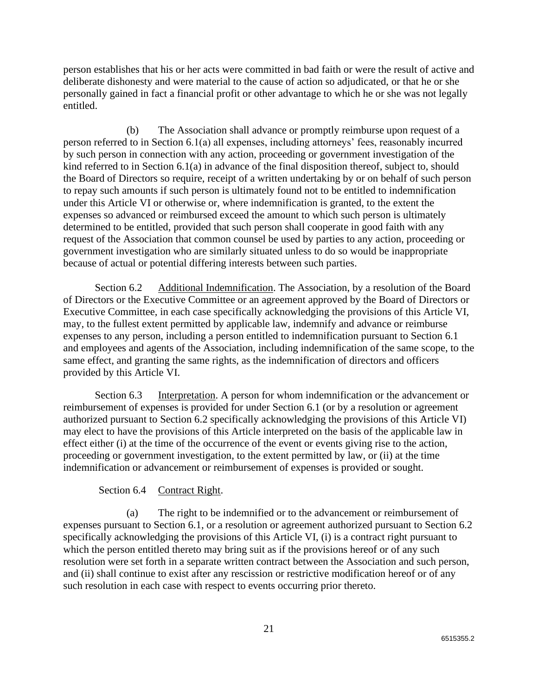person establishes that his or her acts were committed in bad faith or were the result of active and deliberate dishonesty and were material to the cause of action so adjudicated, or that he or she personally gained in fact a financial profit or other advantage to which he or she was not legally entitled.

(b) The Association shall advance or promptly reimburse upon request of a person referred to in Section 6.1(a) all expenses, including attorneys' fees, reasonably incurred by such person in connection with any action, proceeding or government investigation of the kind referred to in Section 6.1(a) in advance of the final disposition thereof, subject to, should the Board of Directors so require, receipt of a written undertaking by or on behalf of such person to repay such amounts if such person is ultimately found not to be entitled to indemnification under this Article VI or otherwise or, where indemnification is granted, to the extent the expenses so advanced or reimbursed exceed the amount to which such person is ultimately determined to be entitled, provided that such person shall cooperate in good faith with any request of the Association that common counsel be used by parties to any action, proceeding or government investigation who are similarly situated unless to do so would be inappropriate because of actual or potential differing interests between such parties.

Section 6.2 Additional Indemnification. The Association, by a resolution of the Board of Directors or the Executive Committee or an agreement approved by the Board of Directors or Executive Committee, in each case specifically acknowledging the provisions of this Article VI, may, to the fullest extent permitted by applicable law, indemnify and advance or reimburse expenses to any person, including a person entitled to indemnification pursuant to Section 6.1 and employees and agents of the Association, including indemnification of the same scope, to the same effect, and granting the same rights, as the indemnification of directors and officers provided by this Article VI.

Section 6.3 Interpretation. A person for whom indemnification or the advancement or reimbursement of expenses is provided for under Section 6.1 (or by a resolution or agreement authorized pursuant to Section 6.2 specifically acknowledging the provisions of this Article VI) may elect to have the provisions of this Article interpreted on the basis of the applicable law in effect either (i) at the time of the occurrence of the event or events giving rise to the action, proceeding or government investigation, to the extent permitted by law, or (ii) at the time indemnification or advancement or reimbursement of expenses is provided or sought.

## Section 6.4 Contract Right.

(a) The right to be indemnified or to the advancement or reimbursement of expenses pursuant to Section 6.1, or a resolution or agreement authorized pursuant to Section 6.2 specifically acknowledging the provisions of this Article VI, (i) is a contract right pursuant to which the person entitled thereto may bring suit as if the provisions hereof or of any such resolution were set forth in a separate written contract between the Association and such person, and (ii) shall continue to exist after any rescission or restrictive modification hereof or of any such resolution in each case with respect to events occurring prior thereto.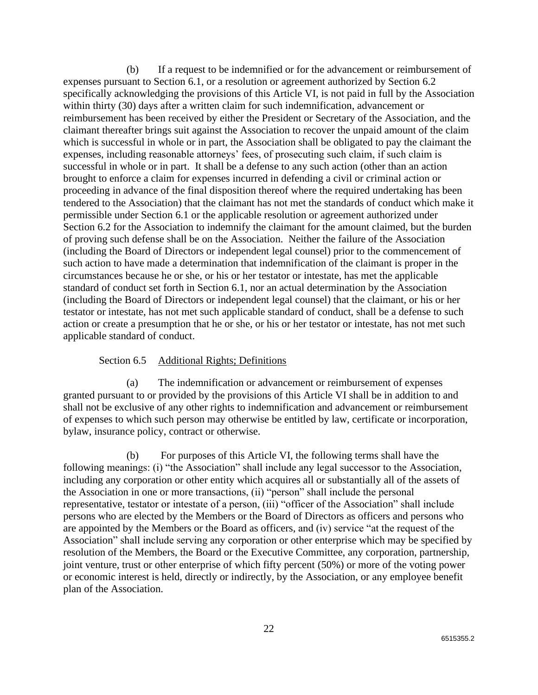(b) If a request to be indemnified or for the advancement or reimbursement of expenses pursuant to Section 6.1, or a resolution or agreement authorized by Section 6.2 specifically acknowledging the provisions of this Article VI, is not paid in full by the Association within thirty (30) days after a written claim for such indemnification, advancement or reimbursement has been received by either the President or Secretary of the Association, and the claimant thereafter brings suit against the Association to recover the unpaid amount of the claim which is successful in whole or in part, the Association shall be obligated to pay the claimant the expenses, including reasonable attorneys' fees, of prosecuting such claim, if such claim is successful in whole or in part. It shall be a defense to any such action (other than an action brought to enforce a claim for expenses incurred in defending a civil or criminal action or proceeding in advance of the final disposition thereof where the required undertaking has been tendered to the Association) that the claimant has not met the standards of conduct which make it permissible under Section 6.1 or the applicable resolution or agreement authorized under Section 6.2 for the Association to indemnify the claimant for the amount claimed, but the burden of proving such defense shall be on the Association. Neither the failure of the Association (including the Board of Directors or independent legal counsel) prior to the commencement of such action to have made a determination that indemnification of the claimant is proper in the circumstances because he or she, or his or her testator or intestate, has met the applicable standard of conduct set forth in Section 6.1, nor an actual determination by the Association (including the Board of Directors or independent legal counsel) that the claimant, or his or her testator or intestate, has not met such applicable standard of conduct, shall be a defense to such action or create a presumption that he or she, or his or her testator or intestate, has not met such applicable standard of conduct.

## Section 6.5 Additional Rights; Definitions

(a) The indemnification or advancement or reimbursement of expenses granted pursuant to or provided by the provisions of this Article VI shall be in addition to and shall not be exclusive of any other rights to indemnification and advancement or reimbursement of expenses to which such person may otherwise be entitled by law, certificate or incorporation, bylaw, insurance policy, contract or otherwise.

(b) For purposes of this Article VI, the following terms shall have the following meanings: (i) "the Association" shall include any legal successor to the Association, including any corporation or other entity which acquires all or substantially all of the assets of the Association in one or more transactions, (ii) "person" shall include the personal representative, testator or intestate of a person, (iii) "officer of the Association" shall include persons who are elected by the Members or the Board of Directors as officers and persons who are appointed by the Members or the Board as officers, and (iv) service "at the request of the Association" shall include serving any corporation or other enterprise which may be specified by resolution of the Members, the Board or the Executive Committee, any corporation, partnership, joint venture, trust or other enterprise of which fifty percent (50%) or more of the voting power or economic interest is held, directly or indirectly, by the Association, or any employee benefit plan of the Association.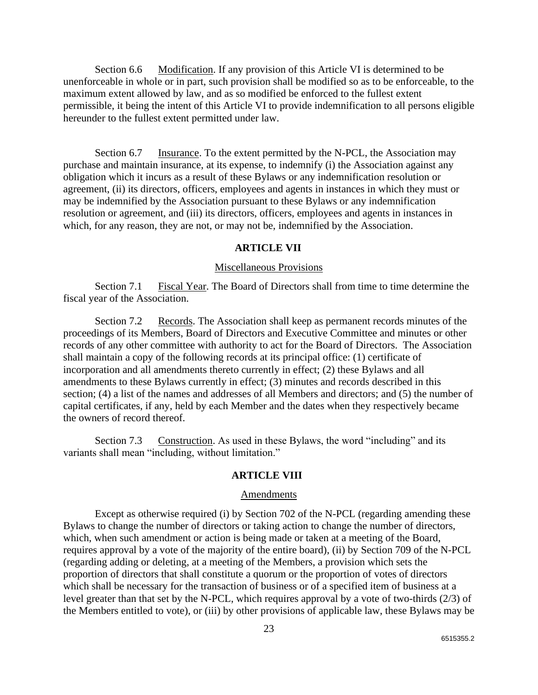Section 6.6 Modification. If any provision of this Article VI is determined to be unenforceable in whole or in part, such provision shall be modified so as to be enforceable, to the maximum extent allowed by law, and as so modified be enforced to the fullest extent permissible, it being the intent of this Article VI to provide indemnification to all persons eligible hereunder to the fullest extent permitted under law.

Section 6.7 Insurance. To the extent permitted by the N-PCL, the Association may purchase and maintain insurance, at its expense, to indemnify (i) the Association against any obligation which it incurs as a result of these Bylaws or any indemnification resolution or agreement, (ii) its directors, officers, employees and agents in instances in which they must or may be indemnified by the Association pursuant to these Bylaws or any indemnification resolution or agreement, and (iii) its directors, officers, employees and agents in instances in which, for any reason, they are not, or may not be, indemnified by the Association.

## **ARTICLE VII**

### Miscellaneous Provisions

Section 7.1 Fiscal Year. The Board of Directors shall from time to time determine the fiscal year of the Association.

Section 7.2 Records. The Association shall keep as permanent records minutes of the proceedings of its Members, Board of Directors and Executive Committee and minutes or other records of any other committee with authority to act for the Board of Directors. The Association shall maintain a copy of the following records at its principal office: (1) certificate of incorporation and all amendments thereto currently in effect; (2) these Bylaws and all amendments to these Bylaws currently in effect; (3) minutes and records described in this section; (4) a list of the names and addresses of all Members and directors; and (5) the number of capital certificates, if any, held by each Member and the dates when they respectively became the owners of record thereof.

Section 7.3 Construction. As used in these Bylaws, the word "including" and its variants shall mean "including, without limitation."

## **ARTICLE VIII**

#### Amendments

Except as otherwise required (i) by Section 702 of the N-PCL (regarding amending these Bylaws to change the number of directors or taking action to change the number of directors, which, when such amendment or action is being made or taken at a meeting of the Board, requires approval by a vote of the majority of the entire board), (ii) by Section 709 of the N-PCL (regarding adding or deleting, at a meeting of the Members, a provision which sets the proportion of directors that shall constitute a quorum or the proportion of votes of directors which shall be necessary for the transaction of business or of a specified item of business at a level greater than that set by the N-PCL, which requires approval by a vote of two-thirds (2/3) of the Members entitled to vote), or (iii) by other provisions of applicable law, these Bylaws may be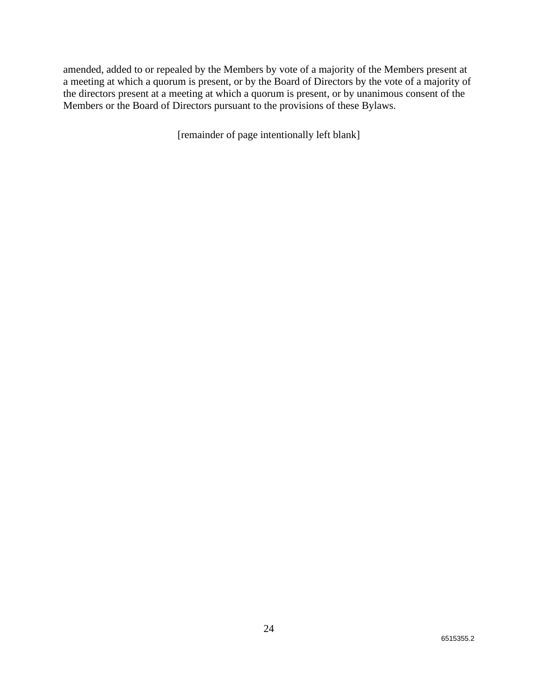amended, added to or repealed by the Members by vote of a majority of the Members present at a meeting at which a quorum is present, or by the Board of Directors by the vote of a majority of the directors present at a meeting at which a quorum is present, or by unanimous consent of the Members or the Board of Directors pursuant to the provisions of these Bylaws.

[remainder of page intentionally left blank]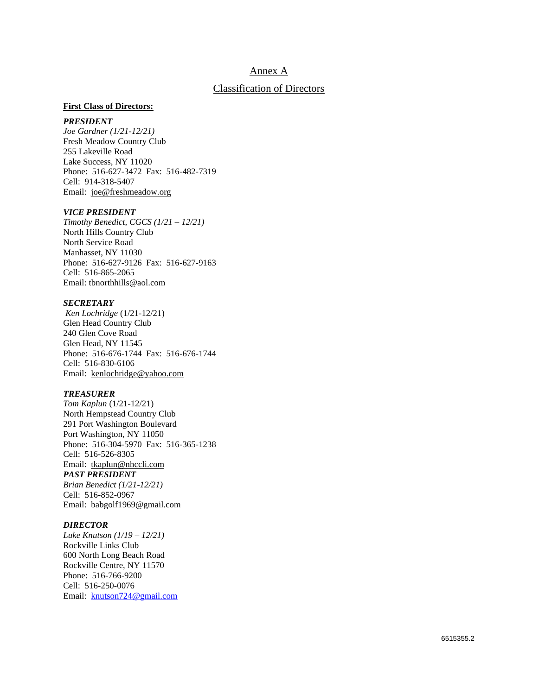## Annex A

#### Classification of Directors

#### **First Class of Directors:**

#### *PRESIDENT*

*Joe Gardner (1/21-12/21)* Fresh Meadow Country Club 255 Lakeville Road Lake Success, NY 11020 Phone: 516-627-3472 Fax: 516-482-7319 Cell: 914-318-5407 Email: [joe@freshmeadow.org](mailto:joe@freshmeadow.org)

#### *VICE PRESIDENT*

*Timothy Benedict, CGCS (1/21 – 12/21)* North Hills Country Club North Service Road Manhasset, NY 11030 Phone: 516-627-9126 Fax: 516-627-9163 Cell: 516-865-2065 Email: [tbnorthhills@aol.com](mailto:tbnorthhills@aol.com)

#### *SECRETARY*

*Ken Lochridge* (1/21-12/21) Glen Head Country Club 240 Glen Cove Road Glen Head, NY 11545 Phone: 516-676-1744 Fax: 516-676-1744 Cell: 516-830-6106 Email: [kenlochridge@yahoo.com](mailto:kenlochridge@yahoo.com)

#### *TREASURER*

*Tom Kaplun* (1/21-12/21) North Hempstead Country Club 291 Port Washington Boulevard Port Washington, NY 11050 Phone: 516-304-5970 Fax: 516-365-1238 Cell: 516-526-8305 Email: [tkaplun@nhccli.com](mailto:tkaplun@nhccli.com) *PAST PRESIDENT*

*Brian Benedict (1/21-12/21)* Cell: 516-852-0967 Email: babgolf1969@gmail.com

#### *DIRECTOR*

*Luke Knutson (1/19 – 12/21)* Rockville Links Club 600 North Long Beach Road Rockville Centre, NY 11570 Phone: 516-766-9200 Cell: 516-250-0076 Email: [knutson724@gmail.com](mailto:knutson724@gmail.com)